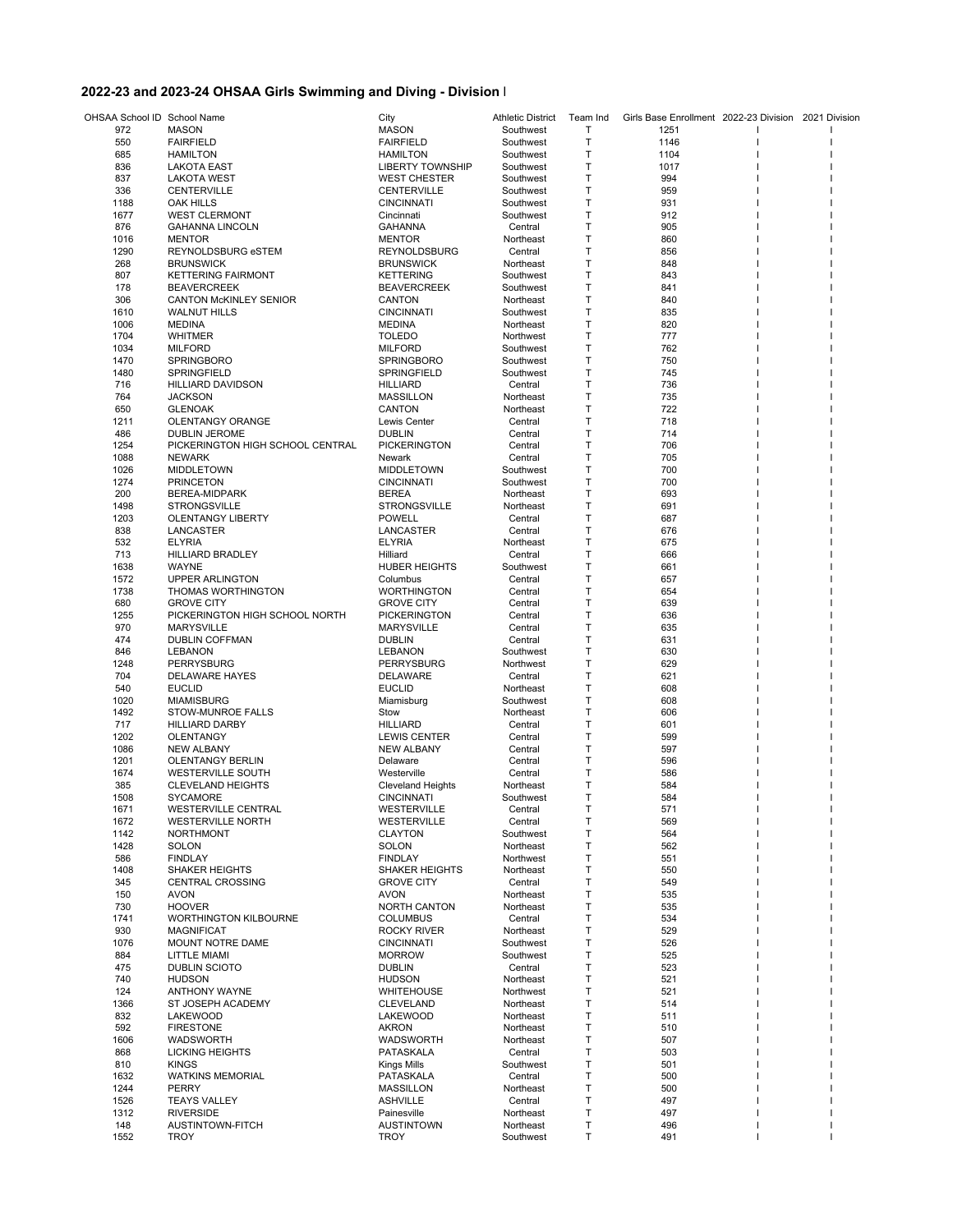## **2022-23 and 2023-24 OHSAA Girls Swimming and Diving - Division I**

| OHSAA School ID School Name |                                          | City                                           | <b>Athletic District</b> | Team Ind | Girls Base Enrollment 2022-23 Division 2021 Division |  |  |
|-----------------------------|------------------------------------------|------------------------------------------------|--------------------------|----------|------------------------------------------------------|--|--|
| 972                         | <b>MASON</b>                             | <b>MASON</b>                                   | Southwest                | Т        | 1251                                                 |  |  |
| 550                         | <b>FAIRFIELD</b>                         | <b>FAIRFIELD</b>                               | Southwest                | Т        | 1146                                                 |  |  |
| 685                         | <b>HAMILTON</b>                          | <b>HAMILTON</b>                                | Southwest                | Т        | 1104                                                 |  |  |
| 836<br>837                  | <b>LAKOTA EAST</b><br><b>LAKOTA WEST</b> | <b>LIBERTY TOWNSHIP</b><br><b>WEST CHESTER</b> | Southwest<br>Southwest   | Τ<br>Τ   | 1017<br>994                                          |  |  |
| 336                         | <b>CENTERVILLE</b>                       | CENTERVILLE                                    | Southwest                | Т        | 959                                                  |  |  |
| 1188                        | OAK HILLS                                | <b>CINCINNATI</b>                              | Southwest                | Т        | 931                                                  |  |  |
| 1677                        | <b>WEST CLERMONT</b>                     | Cincinnati                                     | Southwest                | Т        | 912                                                  |  |  |
| 876                         | <b>GAHANNA LINCOLN</b>                   | <b>GAHANNA</b>                                 | Central                  | Т        | 905                                                  |  |  |
| 1016                        | <b>MENTOR</b>                            | <b>MENTOR</b>                                  | Northeast                | Т        | 860                                                  |  |  |
| 1290                        | REYNOLDSBURG eSTEM                       | REYNOLDSBURG                                   | Central                  | Т        | 856                                                  |  |  |
| 268                         | <b>BRUNSWICK</b>                         | <b>BRUNSWICK</b>                               | Northeast                | Т        | 848                                                  |  |  |
| 807                         | <b>KETTERING FAIRMONT</b>                | <b>KETTERING</b>                               | Southwest                | Т        | 843                                                  |  |  |
| 178                         | <b>BEAVERCREEK</b>                       | <b>BEAVERCREEK</b>                             | Southwest                | Τ        | 841                                                  |  |  |
| 306                         | <b>CANTON McKINLEY SENIOR</b>            | CANTON                                         | Northeast                | Τ        | 840                                                  |  |  |
| 1610                        | <b>WALNUT HILLS</b>                      | <b>CINCINNATI</b>                              | Southwest                | Т        | 835                                                  |  |  |
| 1006                        | <b>MEDINA</b>                            | <b>MEDINA</b>                                  | Northeast                | Т        | 820                                                  |  |  |
| 1704                        | <b>WHITMER</b>                           | <b>TOLEDO</b>                                  | Northwest                | Т        | 777                                                  |  |  |
| 1034                        | <b>MILFORD</b>                           | <b>MILFORD</b>                                 | Southwest                | Т        | 762                                                  |  |  |
| 1470                        | <b>SPRINGBORO</b>                        | <b>SPRINGBORO</b>                              | Southwest                | Т        | 750                                                  |  |  |
| 1480                        | <b>SPRINGFIELD</b>                       | SPRINGFIELD                                    | Southwest                | Т<br>Т   | 745<br>736                                           |  |  |
| 716<br>764                  | HILLIARD DAVIDSON<br><b>JACKSON</b>      | <b>HILLIARD</b><br><b>MASSILLON</b>            | Central<br>Northeast     | Т        | 735                                                  |  |  |
| 650                         | <b>GLENOAK</b>                           | CANTON                                         | Northeast                | Τ        | 722                                                  |  |  |
| 1211                        | <b>OLENTANGY ORANGE</b>                  | Lewis Center                                   | Central                  | Τ        | 718                                                  |  |  |
| 486                         | <b>DUBLIN JEROME</b>                     | <b>DUBLIN</b>                                  | Central                  | Т        | 714                                                  |  |  |
| 1254                        | PICKERINGTON HIGH SCHOOL CENTRAL         | <b>PICKERINGTON</b>                            | Central                  | Т        | 706                                                  |  |  |
| 1088                        | <b>NEWARK</b>                            | Newark                                         | Central                  | Т        | 705                                                  |  |  |
| 1026                        | <b>MIDDLETOWN</b>                        | <b>MIDDLETOWN</b>                              | Southwest                | Т        | 700                                                  |  |  |
| 1274                        | <b>PRINCETON</b>                         | <b>CINCINNATI</b>                              | Southwest                | Т        | 700                                                  |  |  |
| 200                         | <b>BEREA-MIDPARK</b>                     | <b>BEREA</b>                                   | Northeast                | Т        | 693                                                  |  |  |
| 1498                        | <b>STRONGSVILLE</b>                      | <b>STRONGSVILLE</b>                            | Northeast                | Т        | 691                                                  |  |  |
| 1203                        | <b>OLENTANGY LIBERTY</b>                 | <b>POWELL</b>                                  | Central                  | Т        | 687                                                  |  |  |
| 838                         | LANCASTER                                | LANCASTER                                      | Central                  | Τ        | 676                                                  |  |  |
| 532                         | <b>ELYRIA</b>                            | <b>ELYRIA</b>                                  | Northeast                | Т        | 675                                                  |  |  |
| 713                         | <b>HILLIARD BRADLEY</b>                  | Hilliard                                       | Central                  | Т        | 666                                                  |  |  |
| 1638                        | <b>WAYNE</b>                             | <b>HUBER HEIGHTS</b>                           | Southwest                | Т        | 661                                                  |  |  |
| 1572                        | UPPER ARLINGTON                          | Columbus                                       | Central                  | Т        | 657                                                  |  |  |
| 1738                        | THOMAS WORTHINGTON                       | <b>WORTHINGTON</b>                             | Central                  | Т        | 654                                                  |  |  |
| 680                         | <b>GROVE CITY</b>                        | <b>GROVE CITY</b>                              | Central                  | Т        | 639                                                  |  |  |
| 1255                        | PICKERINGTON HIGH SCHOOL NORTH           | <b>PICKERINGTON</b>                            | Central                  | Т        | 636                                                  |  |  |
| 970                         | <b>MARYSVILLE</b>                        | <b>MARYSVILLE</b>                              | Central                  | T        | 635                                                  |  |  |
| 474                         | <b>DUBLIN COFFMAN</b>                    | <b>DUBLIN</b>                                  | Central                  | Т        | 631                                                  |  |  |
| 846                         | <b>LEBANON</b>                           | <b>LEBANON</b>                                 | Southwest                | Τ        | 630                                                  |  |  |
| 1248<br>704                 | PERRYSBURG                               | PERRYSBURG                                     | Northwest                | Τ<br>Т   | 629<br>621                                           |  |  |
| 540                         | DELAWARE HAYES<br><b>EUCLID</b>          | <b>DELAWARE</b><br><b>EUCLID</b>               | Central<br>Northeast     | T        | 608                                                  |  |  |
| 1020                        | <b>MIAMISBURG</b>                        | Miamisburg                                     | Southwest                | Т        | 608                                                  |  |  |
| 1492                        | <b>STOW-MUNROE FALLS</b>                 | Stow                                           | Northeast                | Т        | 606                                                  |  |  |
| 717                         | <b>HILLIARD DARBY</b>                    | <b>HILLIARD</b>                                | Central                  | Т        | 601                                                  |  |  |
| 1202                        | OLENTANGY                                | <b>LEWIS CENTER</b>                            | Central                  | Т        | 599                                                  |  |  |
| 1086                        | <b>NEW ALBANY</b>                        | <b>NEW ALBANY</b>                              | Central                  | Т        | 597                                                  |  |  |
| 1201                        | <b>OLENTANGY BERLIN</b>                  | Delaware                                       | Central                  | Т        | 596                                                  |  |  |
| 1674                        | <b>WESTERVILLE SOUTH</b>                 | Westerville                                    | Central                  | Т        | 586                                                  |  |  |
| 385                         | <b>CLEVELAND HEIGHTS</b>                 | <b>Cleveland Heights</b>                       | Northeast                | Т        | 584                                                  |  |  |
| 1508                        | <b>SYCAMORE</b>                          | <b>CINCINNATI</b>                              | Southwest                | Т        | 584                                                  |  |  |
| 1671                        | <b>WESTERVILLE CENTRAL</b>               | WESTERVILLE                                    | Central                  | Т        | 571                                                  |  |  |
| 1672                        | <b>WESTERVILLE NORTH</b>                 | WESTERVILLE                                    | Central                  | Τ        | 569                                                  |  |  |
| 1142                        | <b>NORTHMONT</b>                         | <b>CLAYTON</b>                                 | Southwest                | Τ        | 564                                                  |  |  |
| 1428                        | <b>SOLON</b>                             | <b>SOLON</b>                                   | Northeast                | Т        | 562                                                  |  |  |
| 586                         | <b>FINDLAY</b>                           | <b>FINDLAY</b>                                 | Northwest                | Τ        | 551                                                  |  |  |
| 1408                        | <b>SHAKER HEIGHTS</b>                    | <b>SHAKER HEIGHTS</b>                          | Northeast                | Т        | 550                                                  |  |  |
| 345<br>150                  | <b>CENTRAL CROSSING</b><br><b>AVON</b>   | <b>GROVE CITY</b>                              | Central<br>Northeast     | Т<br>Τ   | 549<br>535                                           |  |  |
| 730                         | <b>HOOVER</b>                            | <b>AVON</b><br>NORTH CANTON                    | Northeast                | Τ        | 535                                                  |  |  |
| 1741                        | <b>WORTHINGTON KILBOURNE</b>             | <b>COLUMBUS</b>                                | Central                  | Т        | 534                                                  |  |  |
| 930                         | <b>MAGNIFICAT</b>                        | <b>ROCKY RIVER</b>                             | Northeast                | Т        | 529                                                  |  |  |
| 1076                        | MOUNT NOTRE DAME                         | <b>CINCINNATI</b>                              | Southwest                | Т        | 526                                                  |  |  |
| 884                         | LITTLE MIAMI                             | <b>MORROW</b>                                  | Southwest                | Τ        | 525                                                  |  |  |
| 475                         | DUBLIN SCIOTO                            | <b>DUBLIN</b>                                  | Central                  | Τ        | 523                                                  |  |  |
| 740                         | <b>HUDSON</b>                            | <b>HUDSON</b>                                  | Northeast                | Т        | 521                                                  |  |  |
| 124                         | <b>ANTHONY WAYNE</b>                     | <b>WHITEHOUSE</b>                              | Northwest                | Т        | 521                                                  |  |  |
| 1366                        | ST JOSEPH ACADEMY                        | <b>CLEVELAND</b>                               | Northeast                | Т        | 514                                                  |  |  |
| 832                         | LAKEWOOD                                 | LAKEWOOD                                       | Northeast                | Τ        | 511                                                  |  |  |
| 592                         | <b>FIRESTONE</b>                         | <b>AKRON</b>                                   | Northeast                | Τ        | 510                                                  |  |  |
| 1606                        | WADSWORTH                                | WADSWORTH                                      | Northeast                | Т        | 507                                                  |  |  |
| 868                         | <b>LICKING HEIGHTS</b>                   | PATASKALA                                      | Central                  | Т        | 503                                                  |  |  |
| 810                         | <b>KINGS</b>                             | Kings Mills                                    | Southwest                | Т        | 501                                                  |  |  |
| 1632                        | <b>WATKINS MEMORIAL</b>                  | PATASKALA                                      | Central                  | Τ        | 500                                                  |  |  |
| 1244                        | <b>PERRY</b>                             | <b>MASSILLON</b>                               | Northeast                | Τ        | 500                                                  |  |  |
| 1526                        | <b>TEAYS VALLEY</b>                      | <b>ASHVILLE</b>                                | Central                  | Т        | 497                                                  |  |  |
| 1312                        | <b>RIVERSIDE</b>                         | Painesville                                    | Northeast                | Т        | 497                                                  |  |  |
| 148<br>1552                 | AUSTINTOWN-FITCH                         | <b>AUSTINTOWN</b><br><b>TROY</b>               | Northeast                | Т<br>Т   | 496                                                  |  |  |
|                             | TROY                                     |                                                | Southwest                |          | 491                                                  |  |  |